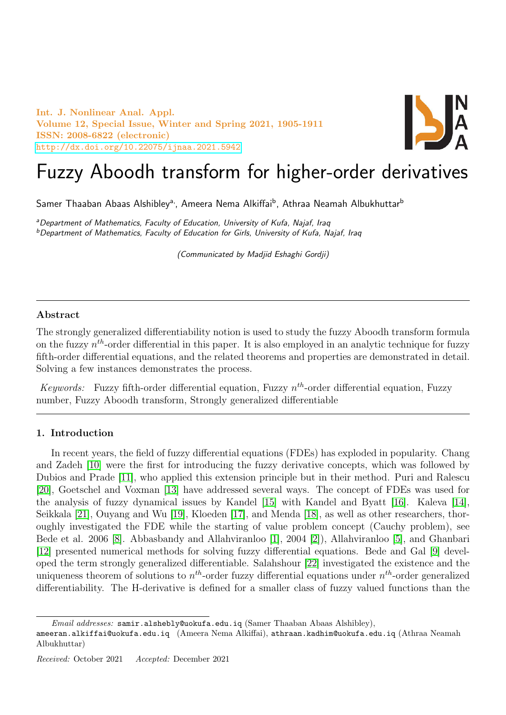Int. J. Nonlinear Anal. Appl. Volume 12, Special Issue, Winter and Spring 2021, 1905-1911 ISSN: 2008-6822 (electronic) <http://dx.doi.org/10.22075/ijnaa.2021.5942>



# Fuzzy Aboodh transform for higher-order derivatives

Samer Thaaban Abaas Alshibley<sup>a,</sup>, Ameera Nema Alkiffai<sup>b</sup>, Athraa Neamah Albukhuttar<sup>b</sup>

<sup>a</sup>Department of Mathematics, Faculty of Education, University of Kufa, Najaf, Iraq  $b$ Department of Mathematics, Faculty of Education for Girls, University of Kufa, Najaf, Iraq

(Communicated by Madjid Eshaghi Gordji)

### Abstract

The strongly generalized differentiability notion is used to study the fuzzy Aboodh transform formula on the fuzzy  $n^{th}$ -order differential in this paper. It is also employed in an analytic technique for fuzzy fifth-order differential equations, and the related theorems and properties are demonstrated in detail. Solving a few instances demonstrates the process.

Keywords: Fuzzy fifth-order differential equation, Fuzzy  $n^{th}$ -order differential equation, Fuzzy number, Fuzzy Aboodh transform, Strongly generalized differentiable

## 1. Introduction

In recent years, the field of fuzzy differential equations (FDEs) has exploded in popularity. Chang and Zadeh [\[10\]](#page-6-0) were the first for introducing the fuzzy derivative concepts, which was followed by Dubios and Prade [\[11\]](#page-6-1), who applied this extension principle but in their method. Puri and Ralescu [\[20\]](#page-6-2), Goetschel and Voxman [\[13\]](#page-6-3) have addressed several ways. The concept of FDEs was used for the analysis of fuzzy dynamical issues by Kandel [\[15\]](#page-6-4) with Kandel and Byatt [\[16\]](#page-6-5). Kaleva [\[14\]](#page-6-6), Seikkala [\[21\]](#page-6-7), Ouyang and Wu [\[19\]](#page-6-8), Kloeden [\[17\]](#page-6-9), and Menda [\[18\]](#page-6-10), as well as other researchers, thoroughly investigated the FDE while the starting of value problem concept (Cauchy problem), see Bede et al. 2006 [\[8\]](#page-5-0). Abbasbandy and Allahviranloo [\[1\]](#page-5-1), 2004 [\[2\]](#page-5-2)), Allahviranloo [\[5\]](#page-5-3), and Ghanbari [\[12\]](#page-6-11) presented numerical methods for solving fuzzy differential equations. Bede and Gal [\[9\]](#page-6-12) developed the term strongly generalized differentiable. Salahshour [\[22\]](#page-6-13) investigated the existence and the uniqueness theorem of solutions to  $n<sup>th</sup>$ -order fuzzy differential equations under  $n<sup>th</sup>$ -order generalized differentiability. The H-derivative is defined for a smaller class of fuzzy valued functions than the

Email addresses: samir.alshebly@uokufa.edu.iq (Samer Thaaban Abaas Alshibley),

ameeran.alkiffai@uokufa.edu.iq (Ameera Nema Alkiffai), athraan.kadhim@uokufa.edu.iq (Athraa Neamah Albukhuttar)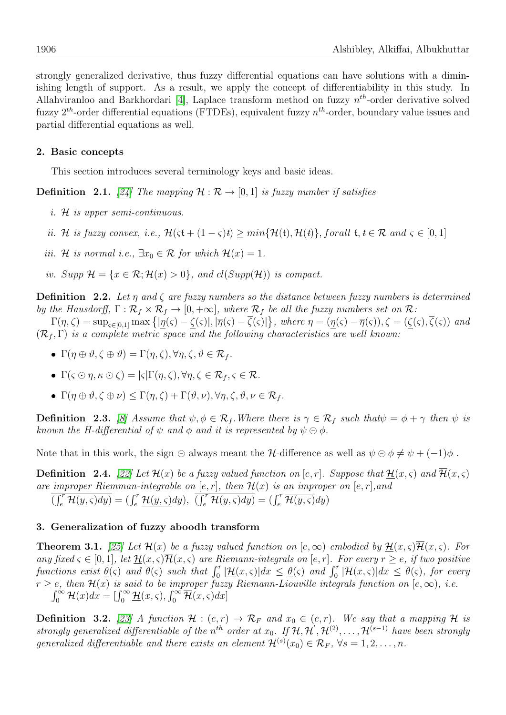strongly generalized derivative, thus fuzzy differential equations can have solutions with a diminishing length of support. As a result, we apply the concept of differentiability in this study. In Allahviranloo and Barkhordari [\[4\]](#page-5-4), Laplace transform method on fuzzy  $n^{th}$ -order derivative solved fuzzy  $2^{th}$ -order differential equations (FTDEs), equivalent fuzzy  $n^{th}$ -order, boundary value issues and partial differential equations as well.

### 2. Basic concepts

This section introduces several terminology keys and basic ideas.

**Definition** 2.1. [\[24\]](#page-6-14) The mapping  $\mathcal{H} : \mathcal{R} \to [0, 1]$  is fuzzy number if satisfies

- i. H is upper semi-continuous.
- ii. H is fuzzy convex, i.e.,  $\mathcal{H}(\varsigma t+(1-\varsigma)t)> min{\mathcal{H}(t), \mathcal{H}(t)}$ , forall  $t, t\in \mathcal{R}$  and  $\varsigma \in [0, 1]$
- iii. H is normal i.e.,  $\exists x_0 \in \mathcal{R}$  for which  $\mathcal{H}(x) = 1$ .
- iv. Supp  $\mathcal{H} = \{x \in \mathcal{R}; \mathcal{H}(x) > 0\}$ , and  $cl(Supp(\mathcal{H}))$  is compact.

**Definition** 2.2. Let  $\eta$  and  $\zeta$  are fuzzy numbers so the distance between fuzzy numbers is determined by the Hausdorff,  $\Gamma : \mathcal{R}_f \times \mathcal{R}_f \to [0, +\infty]$ , where  $\mathcal{R}_f$  be all the fuzzy numbers set on  $\mathcal{R}$ :

 $\Gamma(\eta,\zeta) = \sup_{\varsigma \in [0,1]} \max \left\{ |\underline{\eta}(\varsigma) - \underline{\zeta}(\varsigma)|, |\overline{\eta}(\varsigma) - \overline{\zeta}(\varsigma)| \right\}$ , where  $\eta = (\underline{\eta}(\varsigma) - \overline{\eta}(\varsigma)), \zeta = (\underline{\zeta}(\varsigma), \overline{\zeta}(\varsigma))$  and  $(\mathcal{R}_f, \Gamma)$  is a complete metric space and the following characteristics are well known:

- $\Gamma(\eta \oplus \vartheta, \zeta \oplus \vartheta) = \Gamma(\eta, \zeta), \forall \eta, \zeta, \vartheta \in \mathcal{R}_f$ .
- $\Gamma(\varsigma \odot \eta, \kappa \odot \zeta) = |\varsigma| \Gamma(\eta, \zeta), \forall \eta, \zeta \in \mathcal{R}_f, \varsigma \in \mathcal{R}.$
- $\mathsf{I}(\eta \oplus \vartheta, \zeta \oplus \nu) \leq \Gamma(\eta, \zeta) + \Gamma(\vartheta, \nu), \forall \eta, \zeta, \vartheta, \nu \in \mathcal{R}_f.$

**Definition 2.3.** [\[8\]](#page-5-0) Assume that  $\psi, \phi \in \mathcal{R}_f$ . Where there is  $\gamma \in \mathcal{R}_f$  such that  $\psi = \phi + \gamma$  then  $\psi$  is known the H-differential of  $\psi$  and  $\phi$  and it is represented by  $\psi \ominus \phi$ .

Note that in this work, the sign  $\ominus$  always meant the H-difference as well as  $\psi \ominus \phi \neq \psi + (-1)\phi$ .

**Definition** 2.4. [\[22\]](#page-6-13) Let  $\mathcal{H}(x)$  be a fuzzy valued function on [e, r]. Suppose that  $\mathcal{H}(x,\varsigma)$  and  $\overline{\mathcal{H}}(x,\varsigma)$ are improper Riemman-integrable on  $[e, r]$ , then  $\mathcal{H}(x)$  is an improper on  $[e, r]$ , and  $\overline{(\int_e^r \mathcal{H}(y,\varsigma) dy)} = (\int_e^r \underline{\mathcal{H}(y,\varsigma)} dy), \ \overline{(\int_e^r \mathcal{H}(y,\varsigma) dy)} = (\int_e^r \overline{\mathcal{H}(y,\varsigma)} dy)$ 

#### 3. Generalization of fuzzy aboodh transform

**Theorem 3.1.** [\[25\]](#page-6-15) Let  $\mathcal{H}(x)$  be a fuzzy valued function on  $[e,\infty)$  embodied by  $\mathcal{H}(x,\varsigma)$   $\overline{\mathcal{H}}(x,\varsigma)$ . For any fixed  $\varsigma \in [0,1]$ , let  $\underline{\mathcal{H}}(x,\varsigma)\overline{\mathcal{H}}(x,\varsigma)$  are Riemann-integrals on  $[e,r]$ . For every  $r \geq e$ , if two positive functions exist  $\hat{\theta}(s)$  and  $\overline{\theta}(s)$  such that  $\int_0^r |{\cal H}(x,s)|dx \leq \theta(s)$  and  $\int_0^r |{\overline{\cal H}}(x,s)|dx \leq \overline{\theta}(s)$ , for every particulus exist  $\frac{\partial}{\partial s}(s)$  and  $\partial(s)$  such that  $f_0$   $\frac{\partial}{\partial t}(x,s)$  and  $f_0$   $\partial_t(t,x,s)$  and  $f_0$   $\partial_t(t,x,s)$  and  $f_0$   $\partial_t(t,x,s)$  and  $f_0$   $\partial_t(t,x,s)$  and  $f_0$   $\partial_t(t,x,s)$  and  $f_0$   $\partial_t(t,x,s)$  and  $f_0$   $\partial_t(t,x,s)$  and  $f_0$  $\int_0^\infty \mathcal{H}(x)dx = \left[\int_0^\infty \underline{\mathcal{H}}(x,\varsigma), \int_0^\infty \overline{\mathcal{H}}(x,\varsigma)dx\right]$ 

**Definition 3.2.** [\[23\]](#page-6-16) A function  $\mathcal{H} : (e, r) \to \mathcal{R}_F$  and  $x_0 \in (e, r)$ . We say that a mapping  $\mathcal{H}$  is strongly generalized differentiable of the n<sup>th</sup> order at  $x_0$ . If  $H, H', H^{(2)}, \ldots, H^{(s-1)}$  have been strongly generalized differentiable and there exists an element  $\mathcal{H}^{(s)}(x_0) \in \mathcal{R}_F$ ,  $\forall s = 1, 2, \ldots, n$ .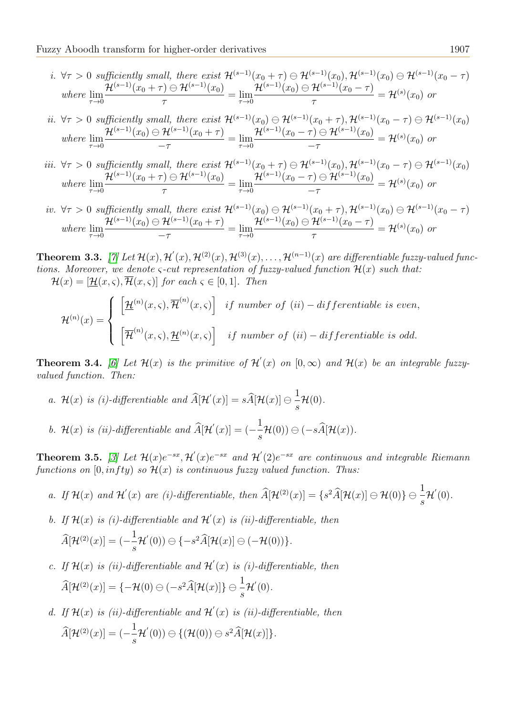*i.* 
$$
\forall \tau > 0
$$
 sufficiently small, there exist  $\mathcal{H}^{(s-1)}(x_0 + \tau) \ominus \mathcal{H}^{(s-1)}(x_0), \mathcal{H}^{(s-1)}(x_0) \ominus \mathcal{H}^{(s-1)}(x_0 - \tau)$   
where  $\lim_{\tau \to 0} \frac{\mathcal{H}^{(s-1)}(x_0 + \tau) \ominus \mathcal{H}^{(s-1)}(x_0)}{\tau} = \lim_{\tau \to 0} \frac{\mathcal{H}^{(s-1)}(x_0) \ominus \mathcal{H}^{(s-1)}(x_0 - \tau)}{\tau} = \mathcal{H}^{(s)}(x_0)$  or

*ii.* 
$$
\forall \tau > 0
$$
 sufficiently small, there exist  $\mathcal{H}^{(s-1)}(x_0) \ominus \mathcal{H}^{(s-1)}(x_0 + \tau), \mathcal{H}^{(s-1)}(x_0 - \tau) \ominus \mathcal{H}^{(s-1)}(x_0)$   
where  $\lim_{\tau \to 0} \frac{\mathcal{H}^{(s-1)}(x_0) \ominus \mathcal{H}^{(s-1)}(x_0 + \tau)}{-\tau} = \lim_{\tau \to 0} \frac{\mathcal{H}^{(s-1)}(x_0 - \tau) \ominus \mathcal{H}^{(s-1)}(x_0)}{-\tau} = \mathcal{H}^{(s)}(x_0)$  or

- iii.  $\forall \tau > 0$  sufficiently small, there exist  $\mathcal{H}^{(s-1)}(x_0 + \tau) \ominus \mathcal{H}^{(s-1)}(x_0)$ ,  $\mathcal{H}^{(s-1)}(x_0 \tau) \ominus \mathcal{H}^{(s-1)}(x_0)$ where  $\lim_{\tau \to 0}$  $\mathcal{H}^{(s-1)}(x_0+\tau)\ominus\mathcal{H}^{(s-1)}(x_0)$  $\frac{1}{\tau} = \lim_{\tau \to 0}$  $\mathcal{H}^{(s-1)}(x_0-\tau)\ominus\mathcal{H}^{(s-1)}(x_0)$  $-\tau$  $=\mathcal{H}^{(s)}(x_0)$  or
- iv.  $\forall \tau > 0$  sufficiently small, there exist  $\mathcal{H}^{(s-1)}(x_0) \ominus \mathcal{H}^{(s-1)}(x_0 + \tau), \mathcal{H}^{(s-1)}(x_0) \ominus \mathcal{H}^{(s-1)}(x_0 \tau)$ where  $\lim_{\tau \to 0}$  $\mathcal{H}^{(s-1)}(x_0)\ominus\mathcal{H}^{(s-1)}(x_0+\tau)$  $\frac{1}{-\tau}$  =  $\lim_{\tau \to 0}$  $\mathcal{H}^{(s-1)}(x_0)\ominus\mathcal{H}^{(s-1)}(x_0-\tau)$ τ  $=\mathcal{H}^{(s)}(x_0)$  or

**Theorem 3.3.** [\[7\]](#page-5-5) Let  $\mathcal{H}(x), \mathcal{H}'(x), \mathcal{H}^{(2)}(x), \mathcal{H}^{(3)}(x), \ldots, \mathcal{H}^{(n-1)}(x)$  are differentiable fuzzy-valued functions. Moreover, we denote  $\varsigma$ -cut representation of fuzzy-valued function  $\mathcal{H}(x)$  such that:  $\mathcal{H}(x) = [\mathcal{H}(x,\varsigma), \overline{\mathcal{H}}(x,\varsigma)]$  for each  $\varsigma \in [0,1]$ . Then

$$
\mathcal{H}^{(n)}(x) = \begin{cases} \left[ \underline{\mathcal{H}}^{(n)}(x,\varsigma), \overline{\mathcal{H}}^{(n)}(x,\varsigma) \right] & \text{if number of } (ii) - \text{differentiable is even,} \\ \left[ \overline{\mathcal{H}}^{(n)}(x,\varsigma), \underline{\mathcal{H}}^{(n)}(x,\varsigma) \right] & \text{if number of } (ii) - \text{differentiable is odd.} \end{cases}
$$

**Theorem 3.4.** [\[6\]](#page-5-6) Let  $\mathcal{H}(x)$  is the primitive of  $\mathcal{H}'(x)$  on  $[0,\infty)$  and  $\mathcal{H}(x)$  be an integrable fuzzyvalued function. Then:

- a. H(x) is (i)-differentiable and  $\widehat{A}[\mathcal{H}^{'}(x)] = s\widehat{A}[\mathcal{H}(x)] \ominus \frac{1}{s}$ s  $\mathcal{H}(0)$ .
- b.  $\mathcal{H}(x)$  is (ii)-differentiable and  $\widehat{A}[\mathcal{H}^{'}(x)] = \left(-\frac{1}{s}\right)$  $\frac{1}{s}\mathcal{H}(0)$   $\ominus$   $(-sA[\mathcal{H}(x)).$

**Theorem 3.5.** [\[3\]](#page-5-7) Let  $\mathcal{H}(x)e^{-sx}$ ,  $\mathcal{H}'(x)e^{-sx}$  and  $\mathcal{H}'(2)e^{-sx}$  are continuous and integrable Riemann functions on  $[0, infty)$  so  $\mathcal{H}(x)$  is continuous fuzzy valued function. Thus:

- a. If  $\mathcal{H}(x)$  and  $\mathcal{H}'(x)$  are (i)-differentiable, then  $\widehat{A}[\mathcal{H}^{(2)}(x)] = \{s^2 \widehat{A}[\mathcal{H}(x)] \ominus \mathcal{H}(0)\} \ominus \frac{1}{s}$  $\mathcal{H}'(0)$ .
- b. If  $\mathcal{H}(x)$  is (i)-differentiable and  $\mathcal{H}'(x)$  is (ii)-differentiable, then  $\widehat{A}[\mathcal{H}^{(2)}(x)] = (-\frac{1}{s})$ s  $\mathcal{H}'(0)$   $\ominus \{-s^2\widehat{A}[\mathcal{H}(x)] \ominus (-\mathcal{H}(0))\}.$
- c. If  $\mathcal{H}(x)$  is (ii)-differentiable and  $\mathcal{H}'(x)$  is (i)-differentiable, then  $\widehat{A}[\mathcal{H}^{(2)}(x)]=\{-\mathcal{H}(0)\ominus(-s^2\widehat{A}[\mathcal{H}(x)]\}\ominus\frac{1}{s}$  $\mathcal{H}'(0)$ .
- d. If  $\mathcal{H}(x)$  is (ii)-differentiable and  $\mathcal{H}'(x)$  is (ii)-differentiable, then  $\widehat{A}[\mathcal{H}^{(2)}(x)] = (-\frac{1}{s})$ s  $\mathcal{H}^{'}(0))\ominus\{(\mathcal{H}(0))\ominus s^2\widehat{A}[\mathcal{H}(x)]\}.$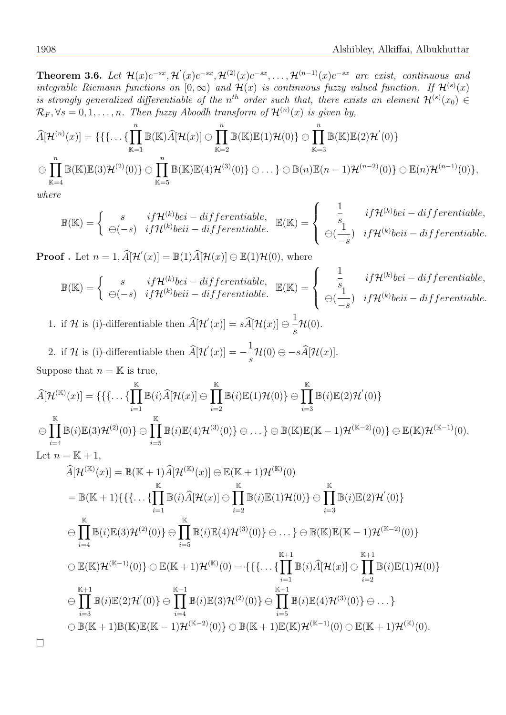**Theorem 3.6.** Let  $\mathcal{H}(x)e^{-sx}, \mathcal{H}'(x)e^{-sx}, \mathcal{H}^{(2)}(x)e^{-sx}, \ldots, \mathcal{H}^{(n-1)}(x)e^{-sx}$  are exist, continuous and integrable Riemann functions on  $[0,\infty)$  and  $\mathcal{H}(x)$  is continuous fuzzy valued function. If  $\mathcal{H}^{(s)}(x)$ is strongly generalized differentiable of the n<sup>th</sup> order such that, there exists an element  $\mathcal{H}^{(s)}(x_0) \in$  $\mathcal{R}_F, \forall s = 0, 1, \ldots, n$ . Then fuzzy Aboodh transform of  $\mathcal{H}^{(n)}(x)$  is given by,

$$
\widehat{A}[\mathcal{H}^{(n)}(x)] = \{ \{\{\ldots\{\prod_{\mathbb{K}=1}^n \mathbb{B}(\mathbb{K})\widehat{A}[\mathcal{H}(x)] \ominus \prod_{\mathbb{K}=2}^n \mathbb{B}(\mathbb{K})\mathbb{E}(1)\mathcal{H}(0)\} \ominus \prod_{\mathbb{K}=3}^n \mathbb{B}(\mathbb{K})\mathbb{E}(2)\mathcal{H}'(0) \}
$$
\n
$$
\ominus \prod_{\mathbb{K}=4}^n \mathbb{B}(\mathbb{K})\mathbb{E}(3)\mathcal{H}^{(2)}(0) \} \ominus \prod_{\mathbb{K}=5}^n \mathbb{B}(\mathbb{K})\mathbb{E}(4)\mathcal{H}^{(3)}(0) \} \ominus \ldots \} \ominus \mathbb{B}(n)\mathbb{E}(n-1)\mathcal{H}^{(n-2)}(0) \} \ominus \mathbb{E}(n)\mathcal{H}^{(n-1)}(0) \},
$$

where

$$
\mathbb{B}(\mathbb{K}) = \begin{cases} s & if \mathcal{H}^{(k)} be i - differentiable, \\ \ominus(-s) & if \mathcal{H}^{(k)} be i - differentiable. \end{cases} \mathbb{E}(\mathbb{K}) = \begin{cases} \frac{1}{s} & if \mathcal{H}^{(k)} be i - differentiable, \\ \ominus(\frac{1}{-s}) & if \mathcal{H}^{(k)} be ii - differentiable. \end{cases}
$$

1

**Proof** . Let  $n = 1$ ,  $\widehat{A}[\mathcal{H}'(x)] = \mathbb{B}(1)\widehat{A}[\mathcal{H}(x)] \ominus \mathbb{E}(1)\mathcal{H}(0)$ , where

$$
\mathbb{B}(\mathbb{K}) = \begin{cases} s & if \mathcal{H}^{(k)} be i - differentiable, \\ \ominus(-s) & if \mathcal{H}^{(k)} be ii - differentiable. \end{cases} \mathbb{E}(\mathbb{K}) = \begin{cases} \frac{1}{s} & if \mathcal{H}^{(k)} be i - differentiable, \\ \ominus(\frac{1}{-s}) & if \mathcal{H}^{(k)} be ii - differentiable. \end{cases}
$$

1. if H is (i)-differentiable then  $\widehat{A}[\mathcal{H}'(x)] = s\widehat{A}[\mathcal{H}(x)] \ominus \frac{1}{s}$ s  $\mathcal{H}(0).$ 

2. if 
$$
\mathcal{H}
$$
 is (i)-differentiable then  $\widehat{A}[\mathcal{H}'(x)] = -\frac{1}{s}\mathcal{H}(0) \ominus -s\widehat{A}[\mathcal{H}(x)].$   
Suppose that  $n = \mathbb{K}$  is true.

Suppose that  $n = \mathbb{K}$  is true,

$$
\widehat{A}[\mathcal{H}^{(\mathbb{K})}(x)] = \{ \{\{\ldots\{\prod_{i=1}^{\mathbb{K}}\mathbb{B}(i)\widehat{A}[\mathcal{H}(x)]\}\oplus\prod_{i=2}^{\mathbb{K}}\mathbb{B}(i)\mathbb{E}(1)\mathcal{H}(0)\} \oplus \prod_{i=3}^{\mathbb{K}}\mathbb{B}(i)\mathbb{E}(2)\mathcal{H}'(0) \}
$$
\n
$$
\ominus \prod_{i=4}^{\mathbb{K}}\mathbb{B}(i)\mathbb{E}(3)\mathcal{H}^{(2)}(0)\} \ominus \prod_{i=5}^{\mathbb{K}}\mathbb{B}(i)\mathbb{E}(4)\mathcal{H}^{(3)}(0)\} \ominus \ldots \} \ominus \mathbb{B}(\mathbb{K})\mathbb{E}(\mathbb{K}-1)\mathcal{H}^{(\mathbb{K}-2)}(0)\} \ominus \mathbb{E}(\mathbb{K})\mathcal{H}^{(\mathbb{K}-1)}(0).
$$
\nLet  $n = \mathbb{K} + 1$ ,

$$
\begin{split}\n\widehat{A}[\mathcal{H}^{(\mathbb{K})}(x)] &= \mathbb{B}(\mathbb{K}+1)\widehat{A}[\mathcal{H}^{(\mathbb{K})}(x)] \ominus \mathbb{E}(\mathbb{K}+1)\mathcal{H}^{(\mathbb{K})}(0) \\
&= \mathbb{B}(\mathbb{K}+1)\{\{\ldots\{\prod_{i=1}^{K}\mathbb{B}(i)\widehat{A}[\mathcal{H}(x)]\}\ominus\prod_{i=2}^{K}\mathbb{B}(i)\mathbb{E}(1)\mathcal{H}(0)\}\ominus\prod_{i=3}^{K}\mathbb{B}(i)\mathbb{E}(2)\mathcal{H}^{'}(0)\} \\
&\ominus\prod_{i=4}^{K}\mathbb{B}(i)\mathbb{E}(3)\mathcal{H}^{(2)}(0)\}\ominus\prod_{i=5}^{K}\mathbb{B}(i)\mathbb{E}(4)\mathcal{H}^{(3)}(0)\}\ominus\ldots\}\ominus\mathbb{B}(\mathbb{K})\mathbb{E}(\mathbb{K}-1)\mathcal{H}^{(\mathbb{K}-2)}(0)\} \\
&\ominus\mathbb{E}(\mathbb{K})\mathcal{H}^{(\mathbb{K}-1)}(0)\}\ominus\mathbb{E}(\mathbb{K}+1)\mathcal{H}^{(\mathbb{K})}(0) = \{\{\ldots\{\prod_{i=1}^{K+1}\mathbb{B}(i)\widehat{A}[\mathcal{H}(x)]\}\ominus\prod_{i=2}^{K+1}\mathbb{B}(i)\mathbb{E}(1)\mathcal{H}(0)\} \\
&\ominus\prod_{i=3}^{K+1}\mathbb{B}(i)\mathbb{E}(2)\mathcal{H}^{'}(0)\}\ominus\prod_{i=4}^{K+1}\mathbb{B}(i)\mathbb{E}(3)\mathcal{H}^{(2)}(0)\}\ominus\prod_{i=5}^{K+1}\mathbb{B}(i)\mathbb{E}(4)\mathcal{H}^{(3)}(0)\}\ominus\ldots\} \\
&\ominus\mathbb{B}(\mathbb{K}+1)\mathbb{B}(\mathbb{K})\mathbb{E}(\mathbb{K}-1)\mathcal{H}^{(\mathbb{K}-2)}(0)\}\ominus\mathbb{B}(\mathbb{K}+1)\mathbb{E}(\mathbb{K})\mathcal{H}^{(\mathbb{K}-1)}(0)\ominus\mathbb{E}(\mathbb{K
$$

□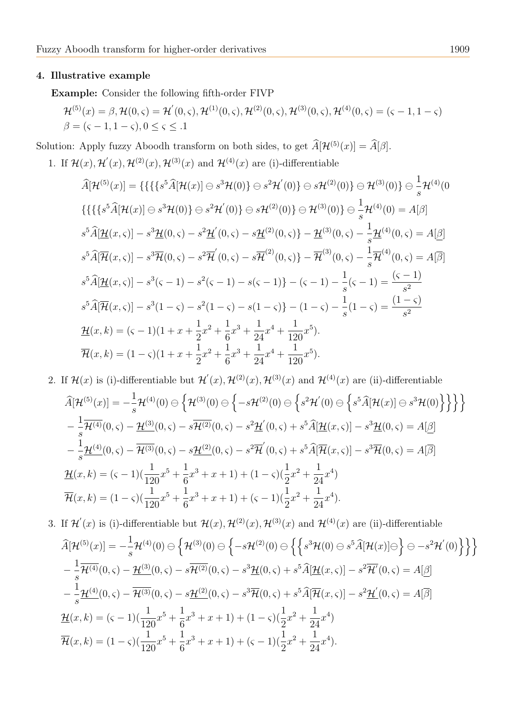## 4. Illustrative example

Example: Consider the following fifth-order FIVP

$$
\mathcal{H}^{(5)}(x) = \beta, \mathcal{H}(0, \varsigma) = \mathcal{H}'(0, \varsigma), \mathcal{H}^{(1)}(0, \varsigma), \mathcal{H}^{(2)}(0, \varsigma), \mathcal{H}^{(3)}(0, \varsigma), \mathcal{H}^{(4)}(0, \varsigma) = (\varsigma - 1, 1 - \varsigma)
$$
  

$$
\beta = (\varsigma - 1, 1 - \varsigma), 0 \le \varsigma \le .1
$$

Solution: Apply fuzzy Aboodh transform on both sides, to get  $\widehat{A}[\mathcal{H}^{(5)}(x)] = \widehat{A}[\beta]$ .

1. If  $\mathcal{H}(x), \mathcal{H}'(x), \mathcal{H}^{(2)}(x), \mathcal{H}^{(3)}(x)$  and  $\mathcal{H}^{(4)}(x)$  are (i)-differentiable

$$
\widehat{A}[\mathcal{H}^{(5)}(x)] = \{ \{ \{ \{ s^5 \widehat{A}[\mathcal{H}(x)] \ominus s^3 \mathcal{H}(0) \} \ominus s^2 \mathcal{H}'(0) \} \ominus s \mathcal{H}^{(2)}(0) \} \ominus \mathcal{H}^{(3)}(0) \} \ominus \frac{1}{s} \mathcal{H}^{(4)}(0)
$$
\n
$$
\{ \{ \{ \{ s^5 \widehat{A}[\mathcal{H}(x)] \ominus s^3 \mathcal{H}(0) \} \ominus s^2 \mathcal{H}'(0) \} \ominus s \mathcal{H}^{(2)}(0) \} \ominus \mathcal{H}^{(3)}(0) \} \ominus \frac{1}{s} \mathcal{H}^{(4)}(0) = A[\beta]
$$
\n
$$
s^5 \widehat{A}[\mathcal{H}(x,\varsigma)] - s^3 \mathcal{H}(0,\varsigma) - s^2 \mathcal{H}'(0,\varsigma) - s \mathcal{H}^{(2)}(0,\varsigma) \} - \mathcal{H}^{(3)}(0,\varsigma) - \frac{1}{s} \mathcal{H}^{(4)}(0,\varsigma) = A[\beta]
$$
\n
$$
s^5 \widehat{A}[\mathcal{H}(x,\varsigma)] - s^3 \mathcal{H}(0,\varsigma) - s^2 \mathcal{H}'(0,\varsigma) - s \mathcal{H}^{(2)}(0,\varsigma) \} - \mathcal{H}^{(3)}(0,\varsigma) - \frac{1}{s} \mathcal{H}^{(4)}(0,\varsigma) = A[\overline{\beta}]
$$
\n
$$
s^5 \widehat{A}[\mathcal{H}(x,\varsigma)] - s^3(\varsigma - 1) - s^2(\varsigma - 1) - s(\varsigma - 1) \} - (\varsigma - 1) - \frac{1}{s}(\varsigma - 1) = \frac{(\varsigma - 1)}{s^2}
$$
\n
$$
s^5 \widehat{A}[\overline{\mathcal{H}}(x,\varsigma)] - s^3(1-\varsigma) - s^2(1-\varsigma) - s(1-\varsigma) \} - (1-\varsigma) - \frac{1}{s}(1-\varsigma) = \frac{(1-\varsigma)}{s^2}
$$
\n
$$
\mathcal{H}(x,k) = (\varsigma - 1)(1 + x + \frac{1}{2}x
$$

2. If  $\mathcal{H}(x)$  is (i)-differentiable but  $\mathcal{H}'(x), \mathcal{H}^{(2)}(x), \mathcal{H}^{(3)}(x)$  and  $\mathcal{H}^{(4)}(x)$  are (ii)-differentiable

$$
\hat{A}[\mathcal{H}^{(5)}(x)] = -\frac{1}{s}\mathcal{H}^{(4)}(0) \ominus \left\{ \mathcal{H}^{(3)}(0) \ominus \left\{ -s\mathcal{H}^{(2)}(0) \ominus \left\{ s^{2}\mathcal{H}'(0) \ominus \left\{ s^{5}\hat{A}[\mathcal{H}(x)] \ominus s^{3}\mathcal{H}(0) \right\} \right\} \right\} \right\}
$$
\n
$$
-\frac{1}{s}\overline{\mathcal{H}^{(4)}}(0,\varsigma) - \underline{\mathcal{H}^{(3)}}(0,\varsigma) - s\overline{\mathcal{H}^{(2)}}(0,\varsigma) - s^{2}\underline{\mathcal{H}}'(0,\varsigma) + s^{5}\hat{A}[\underline{\mathcal{H}}(x,\varsigma)] - s^{3}\underline{\mathcal{H}}(0,\varsigma) = A[\underline{\beta}]
$$
\n
$$
-\frac{1}{s}\underline{\mathcal{H}^{(4)}}(0,\varsigma) - \overline{\mathcal{H}^{(3)}}(0,\varsigma) - s\underline{\mathcal{H}^{(2)}}(0,\varsigma) - s^{2}\overline{\mathcal{H}}'(0,\varsigma) + s^{5}\hat{A}[\overline{\mathcal{H}}(x,\varsigma)] - s^{3}\overline{\mathcal{H}}(0,\varsigma) = A[\overline{\beta}]
$$
\n
$$
\underline{\mathcal{H}}(x,k) = (\varsigma - 1)(\frac{1}{120}x^{5} + \frac{1}{6}x^{3} + x + 1) + (1 - \varsigma)(\frac{1}{2}x^{2} + \frac{1}{24}x^{4})
$$
\n
$$
\overline{\mathcal{H}}(x,k) = (1 - \varsigma)(\frac{1}{120}x^{5} + \frac{1}{6}x^{3} + x + 1) + (\varsigma - 1)(\frac{1}{2}x^{2} + \frac{1}{24}x^{4}).
$$

3. If  $\mathcal{H}'(x)$  is (i)-differentiable but  $\mathcal{H}(x), \mathcal{H}^{(2)}(x), \mathcal{H}^{(3)}(x)$  and  $\mathcal{H}^{(4)}(x)$  are (ii)-differentiable

$$
\hat{A}[\mathcal{H}^{(5)}(x)] = -\frac{1}{s}\mathcal{H}^{(4)}(0) \ominus \left\{ \mathcal{H}^{(3)}(0) \ominus \left\{ -s\mathcal{H}^{(2)}(0) \ominus \left\{ \left\{ s^{3}\mathcal{H}(0) \ominus s^{5}\hat{A}[\mathcal{H}(x)] \ominus \right\} \ominus -s^{2}\mathcal{H}'(0) \right\} \right\} \right\}
$$
\n
$$
-\frac{1}{s}\overline{\mathcal{H}^{(4)}}(0,\varsigma) - \underline{\mathcal{H}^{(3)}}(0,\varsigma) - s\overline{\mathcal{H}^{(2)}}(0,\varsigma) - s^{3}\underline{\mathcal{H}}(0,\varsigma) + s^{5}\hat{A}[\underline{\mathcal{H}}(x,\varsigma)] - s^{2}\overline{\mathcal{H}}'(0,\varsigma) = A[\underline{\beta}]
$$
\n
$$
-\frac{1}{s}\overline{\mathcal{H}^{(4)}}(0,\varsigma) - \overline{\mathcal{H}^{(3)}}(0,\varsigma) - s\underline{\mathcal{H}^{(2)}}(0,\varsigma) - s^{3}\overline{\mathcal{H}}(0,\varsigma) + s^{5}\hat{A}[\overline{\mathcal{H}}(x,\varsigma)] - s^{2}\underline{\mathcal{H}'}(0,\varsigma) = A[\overline{\beta}]
$$
\n
$$
\underline{\mathcal{H}}(x,k) = (\varsigma - 1)(\frac{1}{120}x^{5} + \frac{1}{6}x^{3} + x + 1) + (1 - \varsigma)(\frac{1}{2}x^{2} + \frac{1}{24}x^{4})
$$
\n
$$
\overline{\mathcal{H}}(x,k) = (1 - \varsigma)(\frac{1}{120}x^{5} + \frac{1}{6}x^{3} + x + 1) + (\varsigma - 1)(\frac{1}{2}x^{2} + \frac{1}{24}x^{4}).
$$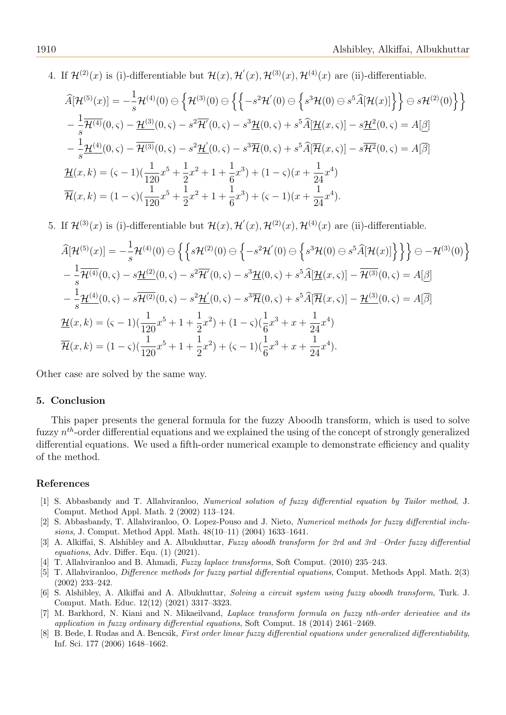4. If  $\mathcal{H}^{(2)}(x)$  is (i)-differentiable but  $\mathcal{H}(x), \mathcal{H}'(x), \mathcal{H}^{(3)}(x), \mathcal{H}^{(4)}(x)$  are (ii)-differentiable.

$$
\begin{split}\n\widehat{A}[\mathcal{H}^{(5)}(x)] &= -\frac{1}{s}\mathcal{H}^{(4)}(0) \ominus \left\{ \mathcal{H}^{(3)}(0) \ominus \left\{ \left\{ -s^2 \mathcal{H}^{'}(0) \ominus \left\{ s^3 \mathcal{H}(0) \ominus s^5 \widehat{A}[\mathcal{H}(x)] \right\} \right\} \ominus s \mathcal{H}^{(2)}(0) \right\} \right\} \\
&- \frac{1}{s}\overline{\mathcal{H}^{(4)}}(0,\varsigma) - \underline{\mathcal{H}^{(3)}}(0,\varsigma) - s^2 \overline{\mathcal{H}'}(0,\varsigma) - s^3 \underline{\mathcal{H}}(0,\varsigma) + s^5 \widehat{A}[\underline{\mathcal{H}}(x,\varsigma)] - s\underline{\mathcal{H}^2}(0,\varsigma) = A[\underline{\beta}] \\
&- \frac{1}{s}\underline{\mathcal{H}^{(4)}}(0,\varsigma) - \overline{\mathcal{H}^{(3)}}(0,\varsigma) - s^2 \underline{\mathcal{H}'}(0,\varsigma) - s^3 \overline{\mathcal{H}}(0,\varsigma) + s^5 \widehat{A}[\overline{\mathcal{H}}(x,\varsigma)] - s\overline{\mathcal{H}^2}(0,\varsigma) = A[\overline{\beta}] \\
&\underline{\mathcal{H}}(x,k) = (\varsigma - 1)(\frac{1}{120}x^5 + \frac{1}{2}x^2 + 1 + \frac{1}{6}x^3) + (1 - \varsigma)(x + \frac{1}{24}x^4) \\
&\overline{\mathcal{H}}(x,k) = (1 - \varsigma)(\frac{1}{120}x^5 + \frac{1}{2}x^2 + 1 + \frac{1}{6}x^3) + (\varsigma - 1)(x + \frac{1}{24}x^4).\n\end{split}
$$

5. If  $\mathcal{H}^{(3)}(x)$  is (i)-differentiable but  $\mathcal{H}(x), \mathcal{H}'(x), \mathcal{H}^{(2)}(x), \mathcal{H}^{(4)}(x)$  are (ii)-differentiable.

$$
\widehat{A}[\mathcal{H}^{(5)}(x)] = -\frac{1}{s}\mathcal{H}^{(4)}(0) \ominus \left\{ \left\{ s\mathcal{H}^{(2)}(0) \ominus \left\{ -s^{2}\mathcal{H}'(0) \ominus \left\{ s^{3}\mathcal{H}(0) \ominus s^{5}\widehat{A}[\mathcal{H}(x)] \right\} \right\} \right\} \ominus -\mathcal{H}^{(3)}(0) \right\}
$$
\n
$$
-\frac{1}{s}\overline{\mathcal{H}^{(4)}}(0,\varsigma) - s\overline{\mathcal{H}^{(2)}}(0,\varsigma) - s^{2}\overline{\mathcal{H}'}(0,\varsigma) - s^{3}\underline{\mathcal{H}}(0,\varsigma) + s^{5}\widehat{A}[\underline{\mathcal{H}}(x,\varsigma)] - \overline{\mathcal{H}^{(3)}}(0,\varsigma) = A[\underline{\beta}]
$$
\n
$$
-\frac{1}{s}\underline{\mathcal{H}^{(4)}}(0,\varsigma) - s\overline{\mathcal{H}^{(2)}}(0,\varsigma) - s^{2}\underline{\mathcal{H}'}(0,\varsigma) - s^{3}\overline{\mathcal{H}}(0,\varsigma) + s^{5}\widehat{A}[\overline{\mathcal{H}}(x,\varsigma)] - \underline{\mathcal{H}^{(3)}}(0,\varsigma) = A[\overline{\beta}]
$$
\n
$$
\underline{\mathcal{H}}(x,k) = (\varsigma - 1)(\frac{1}{120}x^{5} + 1 + \frac{1}{2}x^{2}) + (1 - \varsigma)(\frac{1}{6}x^{3} + x + \frac{1}{24}x^{4})
$$
\n
$$
\overline{\mathcal{H}}(x,k) = (1 - \varsigma)(\frac{1}{120}x^{5} + 1 + \frac{1}{2}x^{2}) + (\varsigma - 1)(\frac{1}{6}x^{3} + x + \frac{1}{24}x^{4}).
$$

Other case are solved by the same way.

#### 5. Conclusion

This paper presents the general formula for the fuzzy Aboodh transform, which is used to solve fuzzy  $n^{th}$ -order differential equations and we explained the using of the concept of strongly generalized differential equations. We used a fifth-order numerical example to demonstrate efficiency and quality of the method.

#### References

- <span id="page-5-1"></span>[1] S. Abbasbandy and T. Allahviranloo, Numerical solution of fuzzy differential equation by Tailor method, J. Comput. Method Appl. Math. 2 (2002) 113–124.
- <span id="page-5-2"></span>[2] S. Abbasbandy, T. Allahviranloo, O. Lopez-Pouso and J. Nieto, Numerical methods for fuzzy differential inclusions, J. Comput. Method Appl. Math. 48(10–11) (2004) 1633–1641.
- <span id="page-5-7"></span>[3] A. Alkiffai, S. Alshibley and A. Albukhuttar, Fuzzy aboodh transform for 2rd and 3rd –Order fuzzy differential equations, Adv. Differ. Equ. (1) (2021).
- <span id="page-5-4"></span>[4] T. Allahviranloo and B. Ahmadi, Fuzzy laplace transforms, Soft Comput. (2010) 235–243.
- <span id="page-5-3"></span>[5] T. Allahviranloo, Difference methods for fuzzy partial differential equations, Comput. Methods Appl. Math. 2(3) (2002) 233–242.
- <span id="page-5-6"></span>[6] S. Alshibley, A. Alkiffai and A. Albukhuttar, Solving a circuit system using fuzzy aboodh transform, Turk. J. Comput. Math. Educ. 12(12) (2021) 3317–3323.
- <span id="page-5-5"></span>[7] M. Barkhord, N. Kiani and N. Mikaeilvand, Laplace transform formula on fuzzy nth-order derivative and its application in fuzzy ordinary differential equations, Soft Comput. 18 (2014) 2461–2469.
- <span id="page-5-0"></span>[8] B. Bede, I. Rudas and A. Bencsik, First order linear fuzzy differential equations under generalized differentiability, Inf. Sci. 177 (2006) 1648–1662.